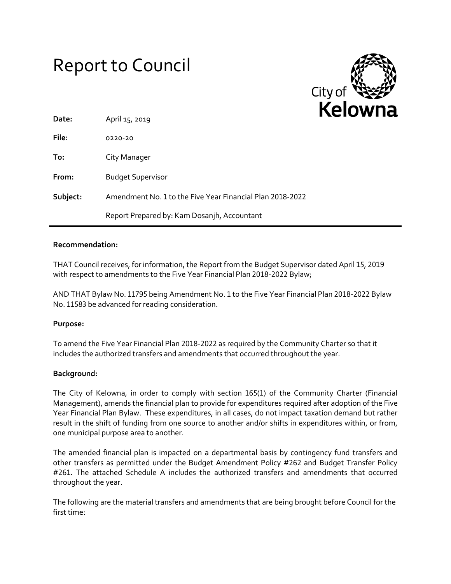# Report to Council



| Date:    | April 15, 2019                                            |
|----------|-----------------------------------------------------------|
| File:    | 0220-20                                                   |
| To:      | City Manager                                              |
| From:    | <b>Budget Supervisor</b>                                  |
| Subject: | Amendment No. 1 to the Five Year Financial Plan 2018-2022 |
|          | Report Prepared by: Kam Dosanjh, Accountant               |

## **Recommendation:**

THAT Council receives, for information, the Report from the Budget Supervisor dated April 15, 2019 with respect to amendments to the Five Year Financial Plan 2018-2022 Bylaw;

AND THAT Bylaw No. 11795 being Amendment No. 1 to the Five Year Financial Plan 2018-2022 Bylaw No. 11583 be advanced for reading consideration.

# **Purpose:**

To amend the Five Year Financial Plan 2018-2022 as required by the Community Charter so that it includes the authorized transfers and amendments that occurred throughout the year.

#### **Background:**

The City of Kelowna, in order to comply with section 165(1) of the Community Charter (Financial Management), amends the financial plan to provide for expenditures required after adoption of the Five Year Financial Plan Bylaw. These expenditures, in all cases, do not impact taxation demand but rather result in the shift of funding from one source to another and/or shifts in expenditures within, or from, one municipal purpose area to another.

The amended financial plan is impacted on a departmental basis by contingency fund transfers and other transfers as permitted under the Budget Amendment Policy #262 and Budget Transfer Policy #261. The attached Schedule A includes the authorized transfers and amendments that occurred throughout the year.

The following are the material transfers and amendments that are being brought before Council for the first time: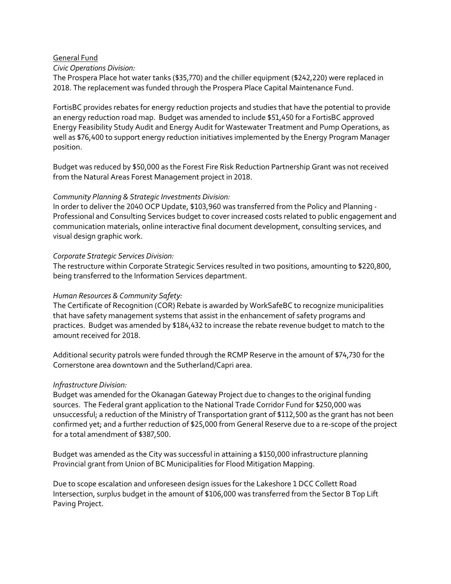#### General Fund

#### *Civic Operations Division:*

The Prospera Place hot water tanks (\$35,770) and the chiller equipment (\$242,220) were replaced in 2018. The replacement was funded through the Prospera Place Capital Maintenance Fund.

FortisBC provides rebates for energy reduction projects and studies that have the potential to provide an energy reduction road map. Budget was amended to include \$51,450 for a FortisBC approved Energy Feasibility Study Audit and Energy Audit for Wastewater Treatment and Pump Operations, as well as \$76,400 to support energy reduction initiatives implemented by the Energy Program Manager position.

Budget was reduced by \$50,000 as the Forest Fire Risk Reduction Partnership Grant was not received from the Natural Areas Forest Management project in 2018.

## *Community Planning & Strategic Investments Division:*

In order to deliver the 2040 OCP Update, \$103,960 was transferred from the Policy and Planning - Professional and Consulting Services budget to cover increased costs related to public engagement and communication materials, online interactive final document development, consulting services, and visual design graphic work.

## *Corporate Strategic Services Division:*

The restructure within Corporate Strategic Services resulted in two positions, amounting to \$220,800, being transferred to the Information Services department.

## *Human Resources & Community Safety:*

The Certificate of Recognition (COR) Rebate is awarded by WorkSafeBC to recognize municipalities that have safety management systems that assist in the enhancement of safety programs and practices. Budget was amended by \$184,432 to increase the rebate revenue budget to match to the amount received for 2018.

Additional security patrols were funded through the RCMP Reserve in the amount of \$74,730 for the Cornerstone area downtown and the Sutherland/Capri area.

# *Infrastructure Division:*

Budget was amended for the Okanagan Gateway Project due to changes to the original funding sources. The Federal grant application to the National Trade Corridor Fund for \$250,000 was unsuccessful; a reduction of the Ministry of Transportation grant of \$112,500 as the grant has not been confirmed yet; and a further reduction of \$25,000 from General Reserve due to a re-scope of the project for a total amendment of \$387,500.

Budget was amended as the City was successful in attaining a \$150,000 infrastructure planning Provincial grant from Union of BC Municipalities for Flood Mitigation Mapping.

Due to scope escalation and unforeseen design issues for the Lakeshore 1 DCC Collett Road Intersection, surplus budget in the amount of \$106,000 was transferred from the Sector B Top Lift Paving Project.